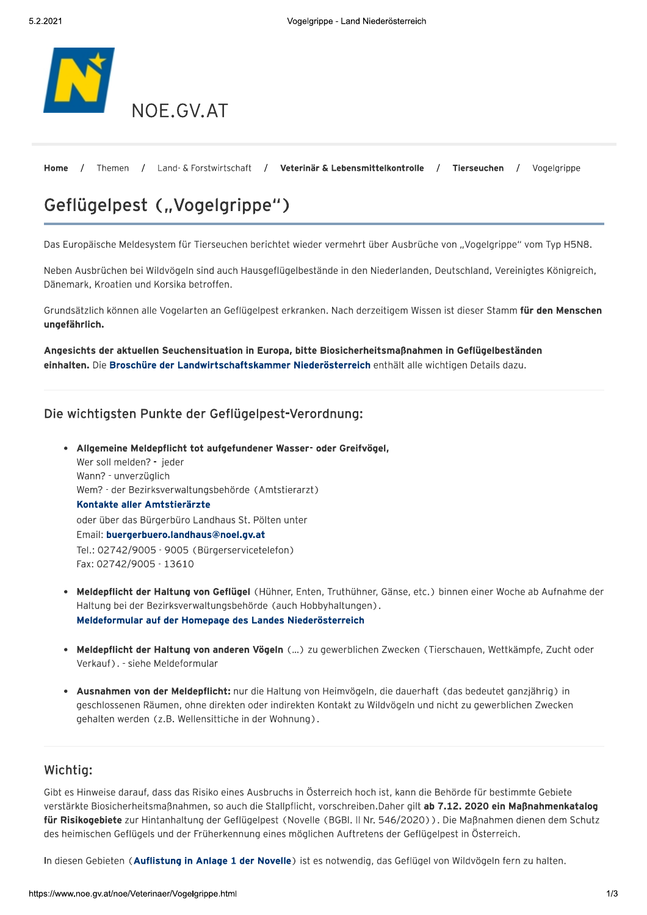

Home Themen / Land- & Forstwirtschaft / Veterinär & Lebensmittelkontrolle  $\sqrt{ }$ Tierseuchen Vogelgrippe

# Geflügelpest ("Vogelgrippe")

Das Europäische Meldesystem für Tierseuchen berichtet wieder vermehrt über Ausbrüche von "Vogelgrippe" vom Typ H5N8.

Neben Ausbrüchen bei Wildvögeln sind auch Hausgeflügelbestände in den Niederlanden, Deutschland, Vereinigtes Königreich, Dänemark, Kroatien und Korsika betroffen.

Grundsätzlich können alle Vogelarten an Geflügelpest erkranken. Nach derzeitigem Wissen ist dieser Stamm für den Menschen ungefährlich.

Angesichts der aktuellen Seuchensituation in Europa, bitte Biosicherheitsmaßnahmen in Geflügelbeständen einhalten. Die Broschüre der Landwirtschaftskammer Niederösterreich enthält alle wichtigen Details dazu.

## Die wichtigsten Punkte der Geflügelpest-Verordnung:

- Allgemeine Meldepflicht tot aufgefundener Wasser- oder Greifvögel, Wer soll melden? - jeder Wann? - unverzüglich Wem? - der Bezirksverwaltungsbehörde (Amtstierarzt) Kontakte aller Amtstierärzte oder über das Bürgerbüro Landhaus St. Pölten unter Email: buergerbuero.landhaus@noel.gv.at Tel.: 02742/9005 - 9005 (Bürgerservicetelefon) Fax: 02742/9005 - 13610
- · Meldepflicht der Haltung von Geflügel (Hühner, Enten, Truthühner, Gänse, etc.) binnen einer Woche ab Aufnahme der Haltung bei der Bezirksverwaltungsbehörde (auch Hobbyhaltungen). Meldeformular auf der Homepage des Landes Niederösterreich
- · Meldepflicht der Haltung von anderen Vögeln (...) zu gewerblichen Zwecken (Tierschauen, Wettkämpfe, Zucht oder Verkauf). - siehe Meldeformular
- Ausnahmen von der Meldepflicht: nur die Haltung von Heimvögeln, die dauerhaft (das bedeutet ganzjährig) in geschlossenen Räumen, ohne direkten oder indirekten Kontakt zu Wildvögeln und nicht zu gewerblichen Zwecken gehalten werden (z.B. Wellensittiche in der Wohnung).

## Wichtig:

Gibt es Hinweise darauf, dass das Risiko eines Ausbruchs in Österreich hoch ist, kann die Behörde für bestimmte Gebiete verstärkte Biosicherheitsmaßnahmen, so auch die Stallpflicht, vorschreiben. Daher gilt ab 7.12. 2020 ein Maßnahmenkatalog für Risikogebiete zur Hintanhaltung der Geflügelpest (Novelle (BGBI. II Nr. 546/2020)). Die Maßnahmen dienen dem Schutz des heimischen Geflügels und der Früherkennung eines möglichen Auftretens der Geflügelpest in Österreich.

In diesen Gebieten (Auflistung in Anlage 1 der Novelle) ist es notwendig, das Geflügel von Wildvögeln fern zu halten.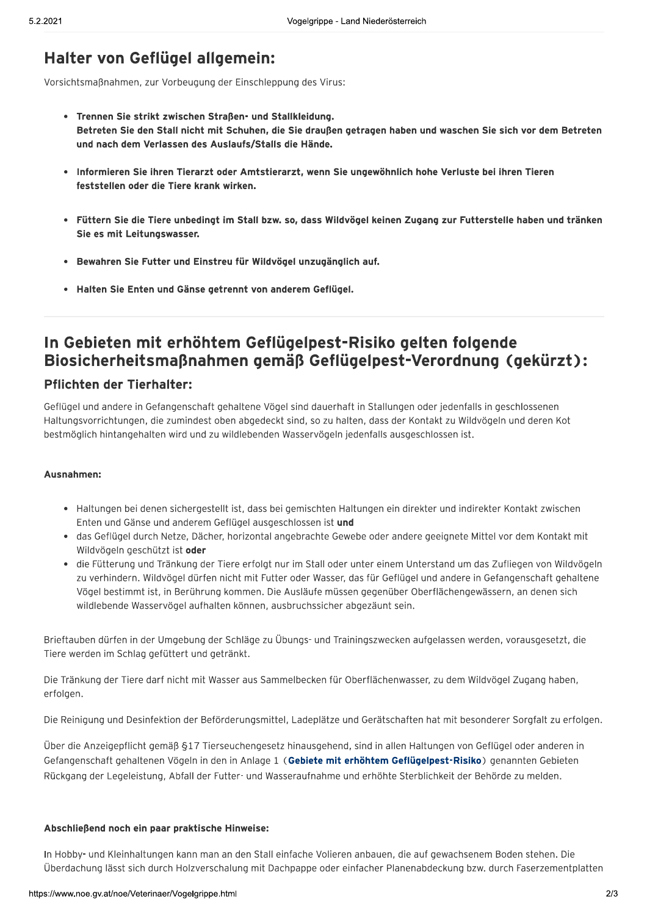# Halter von Geflügel allgemein:

Vorsichtsmaßnahmen, zur Vorbeugung der Einschleppung des Virus:

- Trennen Sie strikt zwischen Straßen- und Stallkleidung. Betreten Sie den Stall nicht mit Schuhen, die Sie draußen getragen haben und waschen Sie sich vor dem Betreten und nach dem Verlassen des Auslaufs/Stalls die Hände.
- · Informieren Sie ihren Tierarzt oder Amtstierarzt, wenn Sie ungewöhnlich hohe Verluste bei ihren Tieren feststellen oder die Tiere krank wirken.
- · Füttern Sie die Tiere unbedingt im Stall bzw. so, dass Wildvögel keinen Zugang zur Futterstelle haben und tränken Sie es mit Leitungswasser.
- Bewahren Sie Futter und Einstreu für Wildvögel unzugänglich auf.
- Halten Sie Enten und Gänse getrennt von anderem Geflügel.

## In Gebieten mit erhöhtem Geflügelpest-Risiko gelten folgende Biosicherheitsmaßnahmen gemäß Geflügelpest-Verordnung (gekürzt):

### **Pflichten der Tierhalter:**

Geflügel und andere in Gefangenschaft gehaltene Vögel sind dauerhaft in Stallungen oder jedenfalls in geschlossenen Haltungsvorrichtungen, die zumindest oben abgedeckt sind, so zu halten, dass der Kontakt zu Wildvögeln und deren Kot bestmöglich hintangehalten wird und zu wildlebenden Wasservögeln jedenfalls ausgeschlossen ist.

#### Ausnahmen:

- Haltungen bei denen sichergestellt ist, dass bei gemischten Haltungen ein direkter und indirekter Kontakt zwischen Enten und Gänse und anderem Geflügel ausgeschlossen ist und
- · das Geflügel durch Netze, Dächer, horizontal angebrachte Gewebe oder andere geeignete Mittel vor dem Kontakt mit Wildvögeln geschützt ist oder
- · die Fütterung und Tränkung der Tiere erfolgt nur im Stall oder unter einem Unterstand um das Zufliegen von Wildvögeln zu verhindern. Wildvögel dürfen nicht mit Futter oder Wasser, das für Geflügel und andere in Gefangenschaft gehaltene Vögel bestimmt ist, in Berührung kommen. Die Ausläufe müssen gegenüber Oberflächengewässern, an denen sich wildlebende Wasservögel aufhalten können, ausbruchssicher abgezäunt sein.

Brieftauben dürfen in der Umgebung der Schläge zu Übungs- und Trainingszwecken aufgelassen werden, vorausgesetzt, die Tiere werden im Schlag gefüttert und getränkt.

Die Tränkung der Tiere darf nicht mit Wasser aus Sammelbecken für Oberflächenwasser, zu dem Wildvögel Zugang haben, erfolgen.

Die Reinigung und Desinfektion der Beförderungsmittel, Ladeplätze und Gerätschaften hat mit besonderer Sorgfalt zu erfolgen.

Über die Anzeigepflicht gemäß §17 Tierseuchengesetz hinausgehend, sind in allen Haltungen von Geflügel oder anderen in Gefangenschaft gehaltenen Vögeln in den in Anlage 1 (Gebiete mit erhöhtem Geflügelpest-Risiko) genannten Gebieten Rückgang der Legeleistung, Abfall der Futter- und Wasseraufnahme und erhöhte Sterblichkeit der Behörde zu melden.

#### Abschließend noch ein paar praktische Hinweise:

In Hobby- und Kleinhaltungen kann man an den Stall einfache Volieren anbauen, die auf gewachsenem Boden stehen. Die Überdachung lässt sich durch Holzverschalung mit Dachpappe oder einfacher Planenabdeckung bzw. durch Faserzementplatten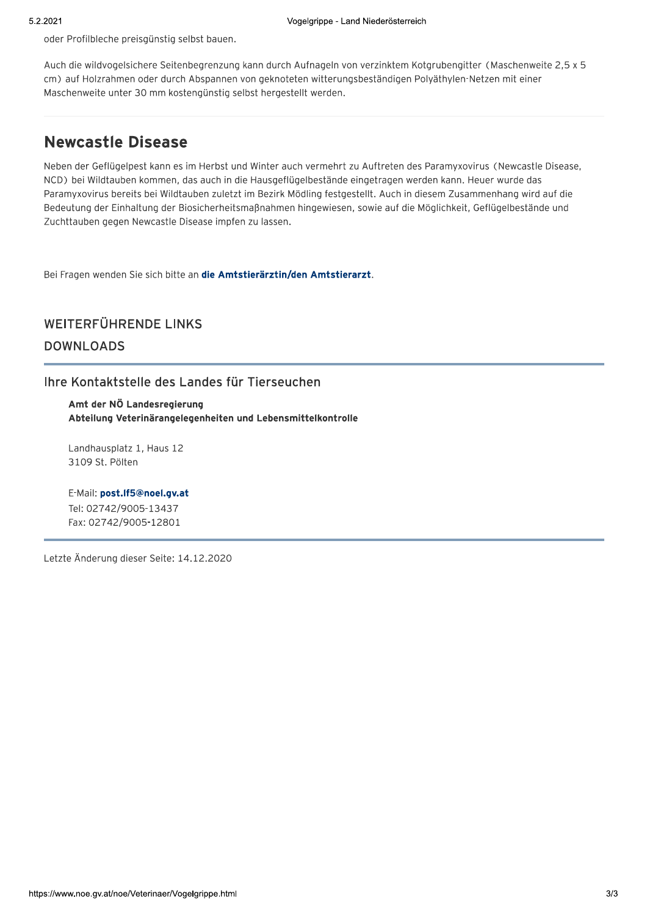oder Profilbleche preisgünstig selbst bauen.

Auch die wildvogelsichere Seitenbegrenzung kann durch Aufnageln von verzinktem Kotgrubengitter (Maschenweite 2,5 x 5 cm) auf Holzrahmen oder durch Abspannen von geknoteten witterungsbeständigen Polyäthylen-Netzen mit einer Maschenweite unter 30 mm kostengünstig selbst hergestellt werden.

## **Newcastle Disease**

Neben der Geflügelpest kann es im Herbst und Winter auch vermehrt zu Auftreten des Paramyxovirus (Newcastle Disease, NCD) bei Wildtauben kommen, das auch in die Hausgeflügelbestände eingetragen werden kann. Heuer wurde das Paramyxovirus bereits bei Wildtauben zuletzt im Bezirk Mödling festgestellt. Auch in diesem Zusammenhang wird auf die Bedeutung der Einhaltung der Biosicherheitsmaßnahmen hingewiesen, sowie auf die Möglichkeit, Geflügelbestände und Zuchttauben gegen Newcastle Disease impfen zu lassen.

Bei Fragen wenden Sie sich bitte an die Amtstierärztin/den Amtstierarzt.

## WEITERFÜHRENDE LINKS **DOWNLOADS**

Ihre Kontaktstelle des Landes für Tierseuchen

Amt der NÖ Landesregierung Abteilung Veterinärangelegenheiten und Lebensmittelkontrolle

Landhausplatz 1, Haus 12 3109 St. Pölten

E-Mail: post.If5@noel.gv.at Tel: 02742/9005-13437 Fax: 02742/9005-12801

Letzte Änderung dieser Seite: 14.12.2020